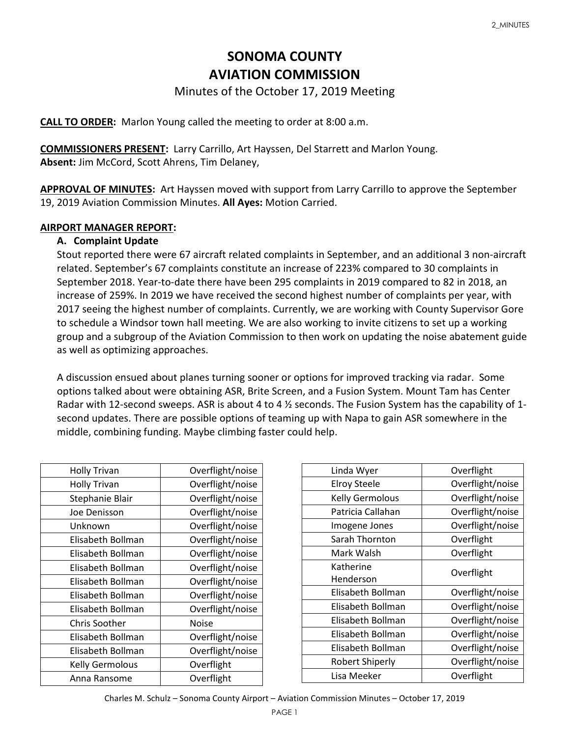# **SONOMA COUNTY AVIATION COMMISSION**

## Minutes of the October 17, 2019 Meeting

**CALL TO ORDER:** Marlon Young called the meeting to order at 8:00 a.m.

**COMMISSIONERS PRESENT:** Larry Carrillo, Art Hayssen, Del Starrett and Marlon Young. **Absent:** Jim McCord, Scott Ahrens, Tim Delaney,

**APPROVAL OF MINUTES:** Art Hayssen moved with support from Larry Carrillo to approve the September 19, 2019 Aviation Commission Minutes. **All Ayes:** Motion Carried.

#### **AIRPORT MANAGER REPORT:**

#### **A. Complaint Update**

Stout reported there were 67 aircraft related complaints in September, and an additional 3 non-aircraft related. September's 67 complaints constitute an increase of 223% compared to 30 complaints in September 2018. Year-to-date there have been 295 complaints in 2019 compared to 82 in 2018, an increase of 259%. In 2019 we have received the second highest number of complaints per year, with 2017 seeing the highest number of complaints. Currently, we are working with County Supervisor Gore to schedule a Windsor town hall meeting. We are also working to invite citizens to set up a working group and a subgroup of the Aviation Commission to then work on updating the noise abatement guide as well as optimizing approaches.

A discussion ensued about planes turning sooner or options for improved tracking via radar. Some options talked about were obtaining ASR, Brite Screen, and a Fusion System. Mount Tam has Center Radar with 12-second sweeps. ASR is about 4 to 4 ½ seconds. The Fusion System has the capability of 1 second updates. There are possible options of teaming up with Napa to gain ASR somewhere in the middle, combining funding. Maybe climbing faster could help.

| <b>Holly Trivan</b>    | Overflight/noise |
|------------------------|------------------|
| <b>Holly Trivan</b>    | Overflight/noise |
| Stephanie Blair        | Overflight/noise |
| Joe Denisson           | Overflight/noise |
| Unknown                | Overflight/noise |
| Elisabeth Bollman      | Overflight/noise |
| Elisabeth Bollman      | Overflight/noise |
| Elisabeth Bollman      | Overflight/noise |
| Elisabeth Bollman      | Overflight/noise |
| Elisabeth Bollman      | Overflight/noise |
| Elisabeth Bollman      | Overflight/noise |
| <b>Chris Soother</b>   | Noise            |
| Elisabeth Bollman      | Overflight/noise |
| Elisabeth Bollman      | Overflight/noise |
| <b>Kelly Germolous</b> | Overflight       |
| Anna Ransome           | Overflight       |

| Linda Wyer             | Overflight       |
|------------------------|------------------|
| <b>Elroy Steele</b>    | Overflight/noise |
| <b>Kelly Germolous</b> | Overflight/noise |
| Patricia Callahan      | Overflight/noise |
| Imogene Jones          | Overflight/noise |
| Sarah Thornton         | Overflight       |
| Mark Walsh             | Overflight       |
| Katherine              | Overflight       |
| Henderson              |                  |
| Elisabeth Bollman      | Overflight/noise |
| Elisabeth Bollman      | Overflight/noise |
| Elisabeth Bollman      | Overflight/noise |
| Elisabeth Bollman      | Overflight/noise |
| Elisabeth Bollman      | Overflight/noise |
| <b>Robert Shiperly</b> | Overflight/noise |
| Lisa Meeker            | Overflight       |

Charles M. Schulz – Sonoma County Airport – Aviation Commission Minutes – October 17, 2019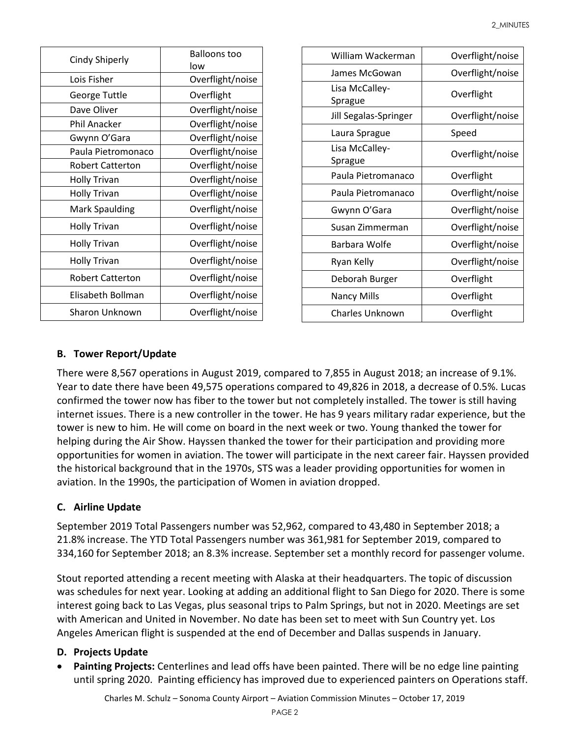| <b>Cindy Shiperly</b>   | <b>Balloons too</b><br>low |
|-------------------------|----------------------------|
| Lois Fisher             | Overflight/noise           |
| George Tuttle           | Overflight                 |
| Dave Oliver             | Overflight/noise           |
| Phil Anacker            | Overflight/noise           |
| Gwynn O'Gara            | Overflight/noise           |
| Paula Pietromonaco      | Overflight/noise           |
| <b>Robert Catterton</b> | Overflight/noise           |
| <b>Holly Trivan</b>     | Overflight/noise           |
| <b>Holly Trivan</b>     | Overflight/noise           |
| <b>Mark Spaulding</b>   | Overflight/noise           |
| <b>Holly Trivan</b>     | Overflight/noise           |
| <b>Holly Trivan</b>     | Overflight/noise           |
| <b>Holly Trivan</b>     | Overflight/noise           |
| <b>Robert Catterton</b> | Overflight/noise           |
| Elisabeth Bollman       | Overflight/noise           |
| Sharon Unknown          | Overflight/noise           |

| William Wackerman         | Overflight/noise |
|---------------------------|------------------|
| James McGowan             | Overflight/noise |
| Lisa McCalley-<br>Sprague | Overflight       |
| Jill Segalas-Springer     | Overflight/noise |
| Laura Sprague             | Speed            |
| Lisa McCalley-<br>Sprague | Overflight/noise |
| Paula Pietromanaco        | Overflight       |
| Paula Pietromanaco        | Overflight/noise |
| Gwynn O'Gara              | Overflight/noise |
| Susan Zimmerman           | Overflight/noise |
| Barbara Wolfe             | Overflight/noise |
| Ryan Kelly                | Overflight/noise |
| Deborah Burger            | Overflight       |
| <b>Nancy Mills</b>        | Overflight       |
| Charles Unknown           | Overflight       |

## **B. Tower Report/Update**

There were 8,567 operations in August 2019, compared to 7,855 in August 2018; an increase of 9.1%. Year to date there have been 49,575 operations compared to 49,826 in 2018, a decrease of 0.5%. Lucas confirmed the tower now has fiber to the tower but not completely installed. The tower is still having internet issues. There is a new controller in the tower. He has 9 years military radar experience, but the tower is new to him. He will come on board in the next week or two. Young thanked the tower for helping during the Air Show. Hayssen thanked the tower for their participation and providing more opportunities for women in aviation. The tower will participate in the next career fair. Hayssen provided the historical background that in the 1970s, STS was a leader providing opportunities for women in aviation. In the 1990s, the participation of Women in aviation dropped.

#### **C. Airline Update**

September 2019 Total Passengers number was 52,962, compared to 43,480 in September 2018; a 21.8% increase. The YTD Total Passengers number was 361,981 for September 2019, compared to 334,160 for September 2018; an 8.3% increase. September set a monthly record for passenger volume.

Stout reported attending a recent meeting with Alaska at their headquarters. The topic of discussion was schedules for next year. Looking at adding an additional flight to San Diego for 2020. There is some interest going back to Las Vegas, plus seasonal trips to Palm Springs, but not in 2020. Meetings are set with American and United in November. No date has been set to meet with Sun Country yet. Los Angeles American flight is suspended at the end of December and Dallas suspends in January.

#### **D. Projects Update**

• **Painting Projects:** Centerlines and lead offs have been painted. There will be no edge line painting until spring 2020. Painting efficiency has improved due to experienced painters on Operations staff.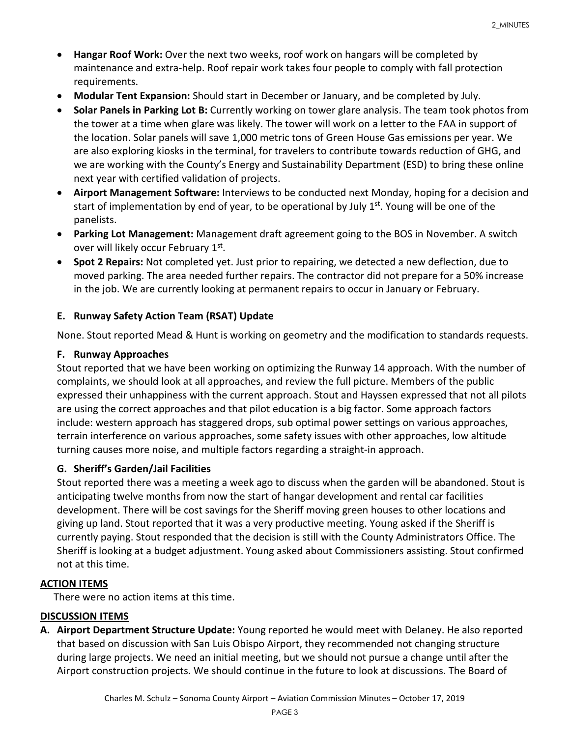- **Hangar Roof Work:** Over the next two weeks, roof work on hangars will be completed by maintenance and extra-help. Roof repair work takes four people to comply with fall protection requirements.
- **Modular Tent Expansion:** Should start in December or January, and be completed by July.
- **Solar Panels in Parking Lot B:** Currently working on tower glare analysis. The team took photos from the tower at a time when glare was likely. The tower will work on a letter to the FAA in support of the location. Solar panels will save 1,000 metric tons of Green House Gas emissions per year. We are also exploring kiosks in the terminal, for travelers to contribute towards reduction of GHG, and we are working with the County's Energy and Sustainability Department (ESD) to bring these online next year with certified validation of projects.
- **Airport Management Software:** Interviews to be conducted next Monday, hoping for a decision and start of implementation by end of year, to be operational by July  $1<sup>st</sup>$ . Young will be one of the panelists.
- **Parking Lot Management:** Management draft agreement going to the BOS in November. A switch over will likely occur February 1st.
- **Spot 2 Repairs:** Not completed yet. Just prior to repairing, we detected a new deflection, due to moved parking. The area needed further repairs. The contractor did not prepare for a 50% increase in the job. We are currently looking at permanent repairs to occur in January or February.

#### **E. Runway Safety Action Team (RSAT) Update**

None. Stout reported Mead & Hunt is working on geometry and the modification to standards requests.

## **F. Runway Approaches**

Stout reported that we have been working on optimizing the Runway 14 approach. With the number of complaints, we should look at all approaches, and review the full picture. Members of the public expressed their unhappiness with the current approach. Stout and Hayssen expressed that not all pilots are using the correct approaches and that pilot education is a big factor. Some approach factors include: western approach has staggered drops, sub optimal power settings on various approaches, terrain interference on various approaches, some safety issues with other approaches, low altitude turning causes more noise, and multiple factors regarding a straight-in approach.

# **G. Sheriff's Garden/Jail Facilities**

Stout reported there was a meeting a week ago to discuss when the garden will be abandoned. Stout is anticipating twelve months from now the start of hangar development and rental car facilities development. There will be cost savings for the Sheriff moving green houses to other locations and giving up land. Stout reported that it was a very productive meeting. Young asked if the Sheriff is currently paying. Stout responded that the decision is still with the County Administrators Office. The Sheriff is looking at a budget adjustment. Young asked about Commissioners assisting. Stout confirmed not at this time.

# **ACTION ITEMS**

There were no action items at this time.

# **DISCUSSION ITEMS**

**A. Airport Department Structure Update:** Young reported he would meet with Delaney. He also reported that based on discussion with San Luis Obispo Airport, they recommended not changing structure during large projects. We need an initial meeting, but we should not pursue a change until after the Airport construction projects. We should continue in the future to look at discussions. The Board of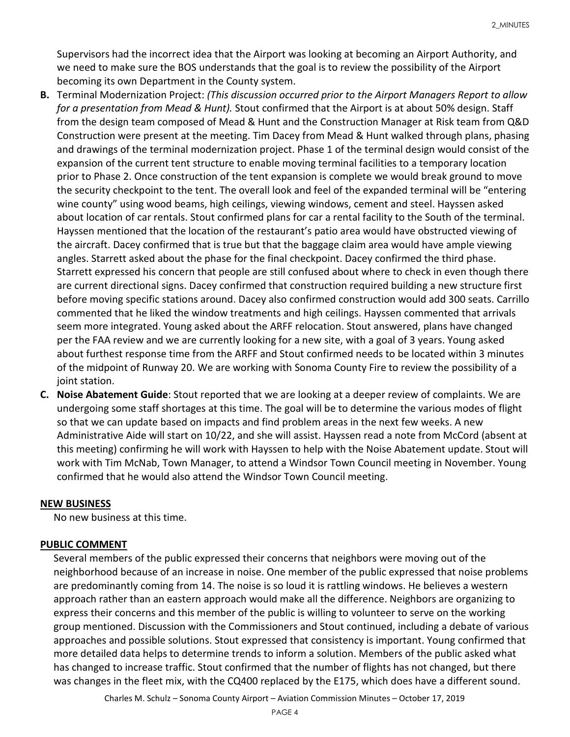Supervisors had the incorrect idea that the Airport was looking at becoming an Airport Authority, and we need to make sure the BOS understands that the goal is to review the possibility of the Airport becoming its own Department in the County system.

- **B.** Terminal Modernization Project: *(This discussion occurred prior to the Airport Managers Report to allow for a presentation from Mead & Hunt).* Stout confirmed that the Airport is at about 50% design. Staff from the design team composed of Mead & Hunt and the Construction Manager at Risk team from Q&D Construction were present at the meeting. Tim Dacey from Mead & Hunt walked through plans, phasing and drawings of the terminal modernization project. Phase 1 of the terminal design would consist of the expansion of the current tent structure to enable moving terminal facilities to a temporary location prior to Phase 2. Once construction of the tent expansion is complete we would break ground to move the security checkpoint to the tent. The overall look and feel of the expanded terminal will be "entering wine county" using wood beams, high ceilings, viewing windows, cement and steel. Hayssen asked about location of car rentals. Stout confirmed plans for car a rental facility to the South of the terminal. Hayssen mentioned that the location of the restaurant's patio area would have obstructed viewing of the aircraft. Dacey confirmed that is true but that the baggage claim area would have ample viewing angles. Starrett asked about the phase for the final checkpoint. Dacey confirmed the third phase. Starrett expressed his concern that people are still confused about where to check in even though there are current directional signs. Dacey confirmed that construction required building a new structure first before moving specific stations around. Dacey also confirmed construction would add 300 seats. Carrillo commented that he liked the window treatments and high ceilings. Hayssen commented that arrivals seem more integrated. Young asked about the ARFF relocation. Stout answered, plans have changed per the FAA review and we are currently looking for a new site, with a goal of 3 years. Young asked about furthest response time from the ARFF and Stout confirmed needs to be located within 3 minutes of the midpoint of Runway 20. We are working with Sonoma County Fire to review the possibility of a joint station.
- **C. Noise Abatement Guide**: Stout reported that we are looking at a deeper review of complaints. We are undergoing some staff shortages at this time. The goal will be to determine the various modes of flight so that we can update based on impacts and find problem areas in the next few weeks. A new Administrative Aide will start on 10/22, and she will assist. Hayssen read a note from McCord (absent at this meeting) confirming he will work with Hayssen to help with the Noise Abatement update. Stout will work with Tim McNab, Town Manager, to attend a Windsor Town Council meeting in November. Young confirmed that he would also attend the Windsor Town Council meeting.

#### **NEW BUSINESS**

No new business at this time.

#### **PUBLIC COMMENT**

Several members of the public expressed their concerns that neighbors were moving out of the neighborhood because of an increase in noise. One member of the public expressed that noise problems are predominantly coming from 14. The noise is so loud it is rattling windows. He believes a western approach rather than an eastern approach would make all the difference. Neighbors are organizing to express their concerns and this member of the public is willing to volunteer to serve on the working group mentioned. Discussion with the Commissioners and Stout continued, including a debate of various approaches and possible solutions. Stout expressed that consistency is important. Young confirmed that more detailed data helps to determine trends to inform a solution. Members of the public asked what has changed to increase traffic. Stout confirmed that the number of flights has not changed, but there was changes in the fleet mix, with the CQ400 replaced by the E175, which does have a different sound.